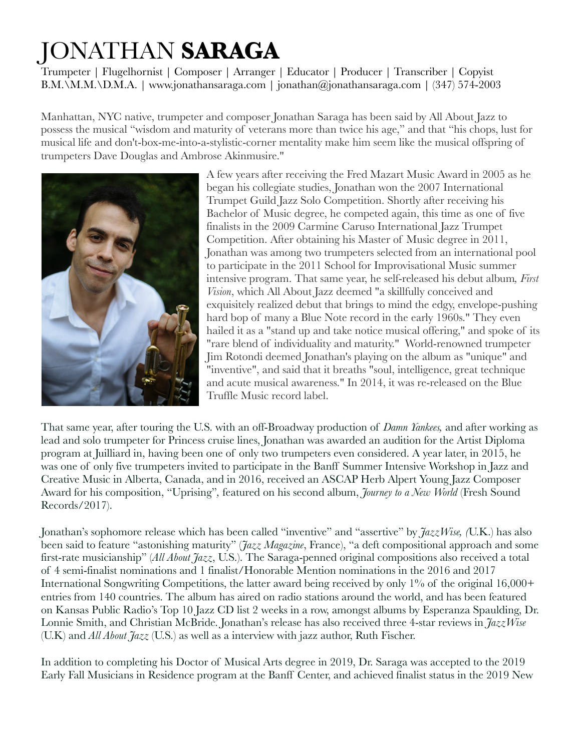## JONATHAN **SARAGA**

Trumpeter | Flugelhornist | Composer | Arranger | Educator | Producer | Transcriber | Copyist B.M.\M.M.\D.M.A. | www.jonathansaraga.com | jonathan@jonathansaraga.com | (347) 574-2003

Manhattan, NYC native, trumpeter and composer Jonathan Saraga has been said by All About Jazz to possess the musical "wisdom and maturity of veterans more than twice his age," and that "his chops, lust for musical life and don't-box-me-into-a-stylistic-corner mentality make him seem like the musical offspring of trumpeters Dave Douglas and Ambrose Akinmusire."



A few years after receiving the Fred Mazart Music Award in 2005 as he began his collegiate studies, Jonathan won the 2007 International Trumpet Guild Jazz Solo Competition. Shortly after receiving his Bachelor of Music degree, he competed again, this time as one of five finalists in the 2009 Carmine Caruso International Jazz Trumpet Competition. After obtaining his Master of Music degree in 2011, Jonathan was among two trumpeters selected from an international pool to participate in the 2011 School for Improvisational Music summer intensive program. That same year, he self-released his debut album*, First Vision*, which All About Jazz deemed "a skillfully conceived and exquisitely realized debut that brings to mind the edgy, envelope-pushing hard bop of many a Blue Note record in the early 1960s." They even hailed it as a "stand up and take notice musical offering," and spoke of its "rare blend of individuality and maturity." World-renowned trumpeter Jim Rotondi deemed Jonathan's playing on the album as "unique" and "inventive", and said that it breaths "soul, intelligence, great technique and acute musical awareness." In 2014, it was re-released on the Blue Truffle Music record label.

That same year, after touring the U.S. with an off-Broadway production of *Damn Yankees,* and after working as lead and solo trumpeter for Princess cruise lines, Jonathan was awarded an audition for the Artist Diploma program at Juilliard in, having been one of only two trumpeters even considered. A year later, in 2015, he was one of only five trumpeters invited to participate in the Banff Summer Intensive Workshop in Jazz and Creative Music in Alberta, Canada, and in 2016, received an ASCAP Herb Alpert Young Jazz Composer Award for his composition, "Uprising"*,* featured on his second album, *Journey to a New World* (Fresh Sound Records/2017).

Jonathan's sophomore release which has been called "inventive" and "assertive" by *JazzWise, (*U.K.) has also been said to feature "astonishing maturity" (*Jazz Magazine*, France), "a deft compositional approach and some first-rate musicianship" (*All About Jazz*, U.S.). The Saraga-penned original compositions also received a total of 4 semi-finalist nominations and 1 finalist/Honorable Mention nominations in the 2016 and 2017 International Songwriting Competitions, the latter award being received by only 1% of the original 16,000+ entries from 140 countries. The album has aired on radio stations around the world, and has been featured on Kansas Public Radio's Top 10 Jazz CD list 2 weeks in a row, amongst albums by Esperanza Spaulding, Dr. Lonnie Smith, and Christian McBride. Jonathan's release has also received three 4-star reviews in *JazzWise* (U.K) and *All About Jazz* (U.S.) as well as a interview with jazz author, Ruth Fischer.

In addition to completing his Doctor of Musical Arts degree in 2019, Dr. Saraga was accepted to the 2019 Early Fall Musicians in Residence program at the Banff Center, and achieved finalist status in the 2019 New